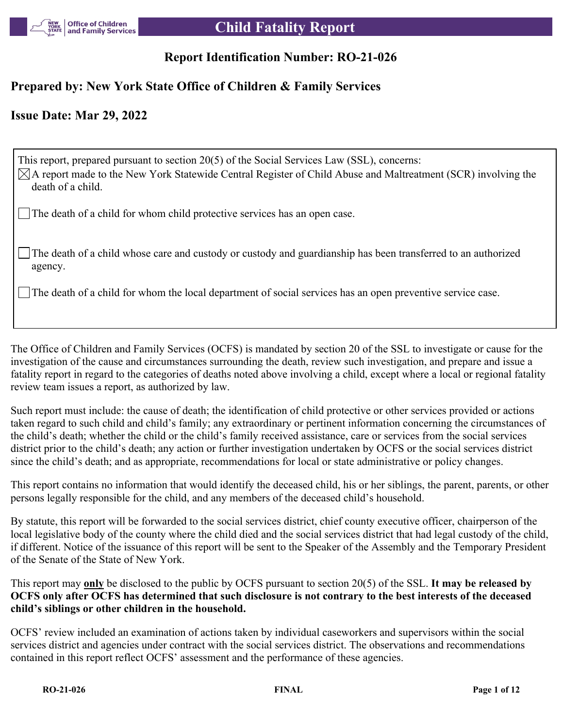

### **Report Identification Number: RO-21-026**

### **Prepared by: New York State Office of Children & Family Services**

### **Issue Date: Mar 29, 2022**

This report, prepared pursuant to section 20(5) of the Social Services Law (SSL), concerns:  $\boxtimes$ A report made to the New York Statewide Central Register of Child Abuse and Maltreatment (SCR) involving the death of a child. The death of a child for whom child protective services has an open case.

The death of a child whose care and custody or custody and guardianship has been transferred to an authorized agency.

The death of a child for whom the local department of social services has an open preventive service case.

The Office of Children and Family Services (OCFS) is mandated by section 20 of the SSL to investigate or cause for the investigation of the cause and circumstances surrounding the death, review such investigation, and prepare and issue a fatality report in regard to the categories of deaths noted above involving a child, except where a local or regional fatality review team issues a report, as authorized by law.

Such report must include: the cause of death; the identification of child protective or other services provided or actions taken regard to such child and child's family; any extraordinary or pertinent information concerning the circumstances of the child's death; whether the child or the child's family received assistance, care or services from the social services district prior to the child's death; any action or further investigation undertaken by OCFS or the social services district since the child's death; and as appropriate, recommendations for local or state administrative or policy changes.

This report contains no information that would identify the deceased child, his or her siblings, the parent, parents, or other persons legally responsible for the child, and any members of the deceased child's household.

By statute, this report will be forwarded to the social services district, chief county executive officer, chairperson of the local legislative body of the county where the child died and the social services district that had legal custody of the child, if different. Notice of the issuance of this report will be sent to the Speaker of the Assembly and the Temporary President of the Senate of the State of New York.

This report may **only** be disclosed to the public by OCFS pursuant to section 20(5) of the SSL. **It may be released by OCFS only after OCFS has determined that such disclosure is not contrary to the best interests of the deceased child's siblings or other children in the household.**

OCFS' review included an examination of actions taken by individual caseworkers and supervisors within the social services district and agencies under contract with the social services district. The observations and recommendations contained in this report reflect OCFS' assessment and the performance of these agencies.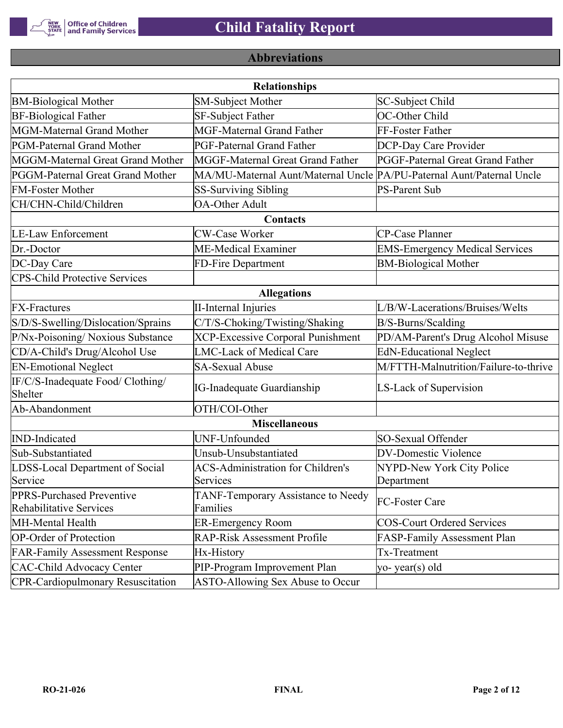

# **Abbreviations**

| <b>Relationships</b>                                        |                                                                       |                                       |  |  |  |
|-------------------------------------------------------------|-----------------------------------------------------------------------|---------------------------------------|--|--|--|
| <b>BM-Biological Mother</b>                                 | <b>SM-Subject Mother</b>                                              | SC-Subject Child                      |  |  |  |
| <b>BF-Biological Father</b>                                 | SF-Subject Father                                                     | OC-Other Child                        |  |  |  |
| MGM-Maternal Grand Mother                                   | <b>MGF-Maternal Grand Father</b>                                      | FF-Foster Father                      |  |  |  |
| PGM-Paternal Grand Mother                                   | PGF-Paternal Grand Father                                             | DCP-Day Care Provider                 |  |  |  |
| MGGM-Maternal Great Grand Mother                            | MGGF-Maternal Great Grand Father                                      | PGGF-Paternal Great Grand Father      |  |  |  |
| PGGM-Paternal Great Grand Mother                            | MA/MU-Maternal Aunt/Maternal Uncle PA/PU-Paternal Aunt/Paternal Uncle |                                       |  |  |  |
| <b>FM-Foster Mother</b>                                     | <b>SS-Surviving Sibling</b>                                           | <b>PS-Parent Sub</b>                  |  |  |  |
| CH/CHN-Child/Children                                       | <b>OA-Other Adult</b>                                                 |                                       |  |  |  |
|                                                             | Contacts                                                              |                                       |  |  |  |
| <b>LE-Law Enforcement</b>                                   | <b>CW-Case Worker</b>                                                 | CP-Case Planner                       |  |  |  |
| Dr.-Doctor                                                  | ME-Medical Examiner                                                   | <b>EMS-Emergency Medical Services</b> |  |  |  |
| DC-Day Care                                                 | FD-Fire Department                                                    | <b>BM-Biological Mother</b>           |  |  |  |
| <b>CPS-Child Protective Services</b>                        |                                                                       |                                       |  |  |  |
|                                                             | <b>Allegations</b>                                                    |                                       |  |  |  |
| <b>FX-Fractures</b>                                         | <b>II-Internal Injuries</b>                                           | L/B/W-Lacerations/Bruises/Welts       |  |  |  |
| S/D/S-Swelling/Dislocation/Sprains                          | C/T/S-Choking/Twisting/Shaking                                        | B/S-Burns/Scalding                    |  |  |  |
| P/Nx-Poisoning/ Noxious Substance                           | <b>XCP-Excessive Corporal Punishment</b>                              | PD/AM-Parent's Drug Alcohol Misuse    |  |  |  |
| CD/A-Child's Drug/Alcohol Use                               | <b>LMC-Lack of Medical Care</b>                                       | <b>EdN-Educational Neglect</b>        |  |  |  |
| <b>EN-Emotional Neglect</b>                                 | <b>SA-Sexual Abuse</b>                                                | M/FTTH-Malnutrition/Failure-to-thrive |  |  |  |
| IF/C/S-Inadequate Food/ Clothing/<br>Shelter                | <b>IG-Inadequate Guardianship</b>                                     | LS-Lack of Supervision                |  |  |  |
| Ab-Abandonment                                              | OTH/COI-Other                                                         |                                       |  |  |  |
|                                                             | <b>Miscellaneous</b>                                                  |                                       |  |  |  |
| <b>IND-Indicated</b>                                        | UNF-Unfounded                                                         | SO-Sexual Offender                    |  |  |  |
| Sub-Substantiated                                           | Unsub-Unsubstantiated                                                 | <b>DV-Domestic Violence</b>           |  |  |  |
| LDSS-Local Department of Social                             | <b>ACS-Administration for Children's</b>                              | NYPD-New York City Police             |  |  |  |
| Service                                                     | Services                                                              | Department                            |  |  |  |
| PPRS-Purchased Preventive<br><b>Rehabilitative Services</b> | TANF-Temporary Assistance to Needy<br>Families                        | FC-Foster Care                        |  |  |  |
| MH-Mental Health                                            | <b>ER-Emergency Room</b>                                              | <b>COS-Court Ordered Services</b>     |  |  |  |
| <b>OP-Order of Protection</b>                               | <b>RAP-Risk Assessment Profile</b>                                    | FASP-Family Assessment Plan           |  |  |  |
| <b>FAR-Family Assessment Response</b>                       | Hx-History                                                            | Tx-Treatment                          |  |  |  |
| <b>CAC-Child Advocacy Center</b>                            | PIP-Program Improvement Plan                                          | yo-year(s) old                        |  |  |  |
| <b>CPR-Cardiopulmonary Resuscitation</b>                    | ASTO-Allowing Sex Abuse to Occur                                      |                                       |  |  |  |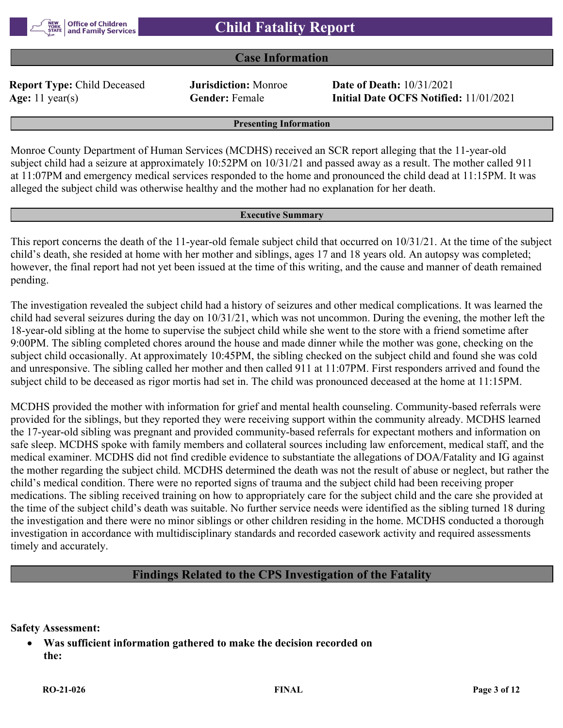

#### **Case Information**

**Report Type:** Child Deceased **Jurisdiction:** Monroe **Date of Death:** 10/31/2021

**Age:** 11 year(s) **Gender:** Female **Initial Date OCFS Notified:** 11/01/2021

**Presenting Information**

Monroe County Department of Human Services (MCDHS) received an SCR report alleging that the 11-year-old subject child had a seizure at approximately 10:52PM on 10/31/21 and passed away as a result. The mother called 911 at 11:07PM and emergency medical services responded to the home and pronounced the child dead at 11:15PM. It was alleged the subject child was otherwise healthy and the mother had no explanation for her death.

#### **Executive Summary**

This report concerns the death of the 11-year-old female subject child that occurred on 10/31/21. At the time of the subject child's death, she resided at home with her mother and siblings, ages 17 and 18 years old. An autopsy was completed; however, the final report had not yet been issued at the time of this writing, and the cause and manner of death remained pending.

The investigation revealed the subject child had a history of seizures and other medical complications. It was learned the child had several seizures during the day on 10/31/21, which was not uncommon. During the evening, the mother left the 18-year-old sibling at the home to supervise the subject child while she went to the store with a friend sometime after 9:00PM. The sibling completed chores around the house and made dinner while the mother was gone, checking on the subject child occasionally. At approximately 10:45PM, the sibling checked on the subject child and found she was cold and unresponsive. The sibling called her mother and then called 911 at 11:07PM. First responders arrived and found the subject child to be deceased as rigor mortis had set in. The child was pronounced deceased at the home at 11:15PM.

MCDHS provided the mother with information for grief and mental health counseling. Community-based referrals were provided for the siblings, but they reported they were receiving support within the community already. MCDHS learned the 17-year-old sibling was pregnant and provided community-based referrals for expectant mothers and information on safe sleep. MCDHS spoke with family members and collateral sources including law enforcement, medical staff, and the medical examiner. MCDHS did not find credible evidence to substantiate the allegations of DOA/Fatality and IG against the mother regarding the subject child. MCDHS determined the death was not the result of abuse or neglect, but rather the child's medical condition. There were no reported signs of trauma and the subject child had been receiving proper medications. The sibling received training on how to appropriately care for the subject child and the care she provided at the time of the subject child's death was suitable. No further service needs were identified as the sibling turned 18 during the investigation and there were no minor siblings or other children residing in the home. MCDHS conducted a thorough investigation in accordance with multidisciplinary standards and recorded casework activity and required assessments timely and accurately.

### **Findings Related to the CPS Investigation of the Fatality**

**Safety Assessment:**

 **Was sufficient information gathered to make the decision recorded on the:**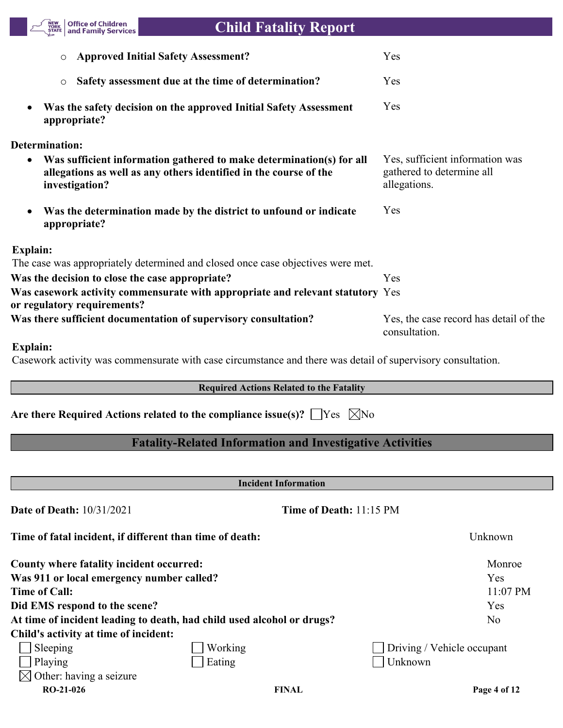

| <b>Approved Initial Safety Assessment?</b>                                                                                                                               | Yes                                                                          |
|--------------------------------------------------------------------------------------------------------------------------------------------------------------------------|------------------------------------------------------------------------------|
| Safety assessment due at the time of determination?<br>$\circ$                                                                                                           | Yes                                                                          |
| Was the safety decision on the approved Initial Safety Assessment<br>$\bullet$<br>appropriate?                                                                           | Yes                                                                          |
| <b>Determination:</b>                                                                                                                                                    |                                                                              |
| Was sufficient information gathered to make determination(s) for all<br>$\bullet$<br>allegations as well as any others identified in the course of the<br>investigation? | Yes, sufficient information was<br>gathered to determine all<br>allegations. |
| Was the determination made by the district to unfound or indicate<br>$\bullet$<br>appropriate?                                                                           | Yes                                                                          |
| <b>Explain:</b>                                                                                                                                                          |                                                                              |
| The case was appropriately determined and closed once case objectives were met.                                                                                          |                                                                              |
| Was the decision to close the case appropriate?                                                                                                                          | Yes                                                                          |
| Was casework activity commensurate with appropriate and relevant statutory Yes<br>or regulatory requirements?                                                            |                                                                              |
| Was there sufficient documentation of supervisory consultation?                                                                                                          | Yes, the case record has detail of the<br>consultation.                      |
|                                                                                                                                                                          |                                                                              |

#### **Explain:**

Casework activity was commensurate with case circumstance and there was detail of supervisory consultation.

## **Required Actions Related to the Fatality**

Are there Required Actions related to the compliance issue(s)?  $\Box$  Yes  $\Box$  No

### **Fatality-Related Information and Investigative Activities**

| <b>Incident Information</b>                              |                                                                        |                                |  |  |  |
|----------------------------------------------------------|------------------------------------------------------------------------|--------------------------------|--|--|--|
| <b>Date of Death: 10/31/2021</b>                         |                                                                        | <b>Time of Death: 11:15 PM</b> |  |  |  |
| Time of fatal incident, if different than time of death: |                                                                        | Unknown                        |  |  |  |
| County where fatality incident occurred:                 |                                                                        | Monroe                         |  |  |  |
| Was 911 or local emergency number called?                |                                                                        | <b>Yes</b>                     |  |  |  |
| <b>Time of Call:</b>                                     |                                                                        | 11:07 PM                       |  |  |  |
| Did EMS respond to the scene?                            |                                                                        | Yes                            |  |  |  |
|                                                          | At time of incident leading to death, had child used alcohol or drugs? | N <sub>o</sub>                 |  |  |  |
| Child's activity at time of incident:                    |                                                                        |                                |  |  |  |
| Sleeping                                                 | Working                                                                | Driving / Vehicle occupant     |  |  |  |
| Playing                                                  | Eating                                                                 | Unknown                        |  |  |  |
| $\boxtimes$ Other: having a seizure                      |                                                                        |                                |  |  |  |
| $RO-21-026$                                              | <b>FINAL</b>                                                           | Page 4 of 12                   |  |  |  |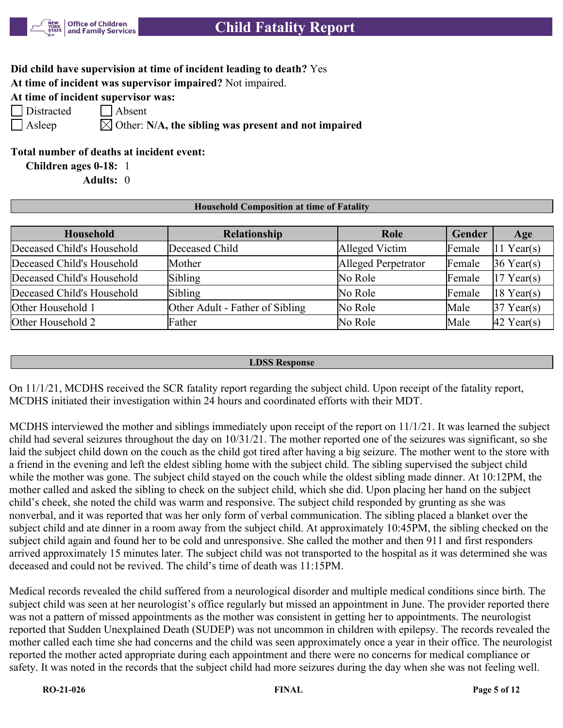

### **Did child have supervision at time of incident leading to death?** Yes

**At time of incident was supervisor impaired?** Not impaired.

**At time of incident supervisor was:**

| Distract |
|----------|
|          |

ed Absent

 $\Box$  Asleep  $\Box$  Other: N/A, the sibling was present and not impaired

### **Total number of deaths at incident event:**

**Children ages 0-18:** 1

**Adults:** 0

#### **Household Composition at time of Fatality**

| <b>Household</b>           | Relationship                    | Role                | Gender | Age                    |
|----------------------------|---------------------------------|---------------------|--------|------------------------|
| Deceased Child's Household | Deceased Child                  | Alleged Victim      | Female | $ 11 \text{ Year}(s) $ |
| Deceased Child's Household | Mother                          | Alleged Perpetrator | Female | $36$ Year(s)           |
| Deceased Child's Household | Sibling                         | No Role             | Female | $17$ Year(s)           |
| Deceased Child's Household | Sibling                         | No Role             | Female | $ 18 \text{ Year}(s) $ |
| Other Household 1          | Other Adult - Father of Sibling | No Role             | Male   | $37$ Year(s)           |
| Other Household 2          | Father                          | No Role             | Male   | $42$ Year(s)           |

#### **LDSS Response**

On 11/1/21, MCDHS received the SCR fatality report regarding the subject child. Upon receipt of the fatality report, MCDHS initiated their investigation within 24 hours and coordinated efforts with their MDT.

MCDHS interviewed the mother and siblings immediately upon receipt of the report on 11/1/21. It was learned the subject child had several seizures throughout the day on 10/31/21. The mother reported one of the seizures was significant, so she laid the subject child down on the couch as the child got tired after having a big seizure. The mother went to the store with a friend in the evening and left the eldest sibling home with the subject child. The sibling supervised the subject child while the mother was gone. The subject child stayed on the couch while the oldest sibling made dinner. At 10:12PM, the mother called and asked the sibling to check on the subject child, which she did. Upon placing her hand on the subject child's cheek, she noted the child was warm and responsive. The subject child responded by grunting as she was nonverbal, and it was reported that was her only form of verbal communication. The sibling placed a blanket over the subject child and ate dinner in a room away from the subject child. At approximately 10:45PM, the sibling checked on the subject child again and found her to be cold and unresponsive. She called the mother and then 911 and first responders arrived approximately 15 minutes later. The subject child was not transported to the hospital as it was determined she was deceased and could not be revived. The child's time of death was 11:15PM.

Medical records revealed the child suffered from a neurological disorder and multiple medical conditions since birth. The subject child was seen at her neurologist's office regularly but missed an appointment in June. The provider reported there was not a pattern of missed appointments as the mother was consistent in getting her to appointments. The neurologist reported that Sudden Unexplained Death (SUDEP) was not uncommon in children with epilepsy. The records revealed the mother called each time she had concerns and the child was seen approximately once a year in their office. The neurologist reported the mother acted appropriate during each appointment and there were no concerns for medical compliance or safety. It was noted in the records that the subject child had more seizures during the day when she was not feeling well.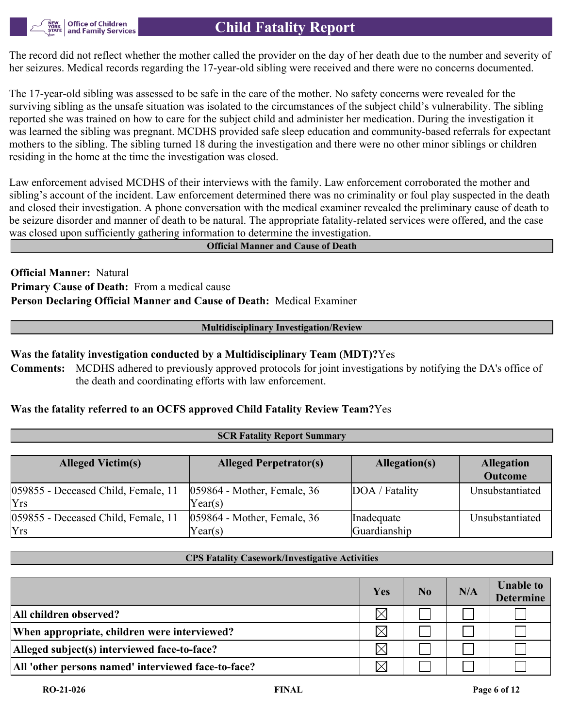

The record did not reflect whether the mother called the provider on the day of her death due to the number and severity of her seizures. Medical records regarding the 17-year-old sibling were received and there were no concerns documented.

The 17-year-old sibling was assessed to be safe in the care of the mother. No safety concerns were revealed for the surviving sibling as the unsafe situation was isolated to the circumstances of the subject child's vulnerability. The sibling reported she was trained on how to care for the subject child and administer her medication. During the investigation it was learned the sibling was pregnant. MCDHS provided safe sleep education and community-based referrals for expectant mothers to the sibling. The sibling turned 18 during the investigation and there were no other minor siblings or children residing in the home at the time the investigation was closed.

Law enforcement advised MCDHS of their interviews with the family. Law enforcement corroborated the mother and sibling's account of the incident. Law enforcement determined there was no criminality or foul play suspected in the death and closed their investigation. A phone conversation with the medical examiner revealed the preliminary cause of death to be seizure disorder and manner of death to be natural. The appropriate fatality-related services were offered, and the case was closed upon sufficiently gathering information to determine the investigation.

#### **Official Manner and Cause of Death**

**Official Manner:** Natural **Primary Cause of Death:** From a medical cause **Person Declaring Official Manner and Cause of Death:** Medical Examiner

#### **Multidisciplinary Investigation/Review**

#### **Was the fatality investigation conducted by a Multidisciplinary Team (MDT)?**Yes

**Comments:** MCDHS adhered to previously approved protocols for joint investigations by notifying the DA's office of the death and coordinating efforts with law enforcement.

#### **Was the fatality referred to an OCFS approved Child Fatality Review Team?**Yes

| <b>Alleged Victim(s)</b>                   | <b>Alleged Perpetrator(s)</b>             | Allegation(s)              | <b>Allegation</b><br><b>Outcome</b> |
|--------------------------------------------|-------------------------------------------|----------------------------|-------------------------------------|
| 059855 - Deceased Child, Female, 11<br>Yrs | $ 059864$ - Mother, Female, 36<br>Year(s) | DOA / Fatality             | Unsubstantiated                     |
| 059855 - Deceased Child, Female, 11<br>Yrs | $ 059864$ - Mother, Female, 36<br>Year(s) | Inadequate<br>Guardianship | Unsubstantiated                     |

**SCR Fatality Report Summary**

#### **CPS Fatality Casework/Investigative Activities**

|                                                     | Yes      | N <sub>0</sub> | N/A | <b>Unable to</b><br><b>Determine</b> |
|-----------------------------------------------------|----------|----------------|-----|--------------------------------------|
| All children observed?                              | $\times$ |                |     |                                      |
| When appropriate, children were interviewed?        | $\times$ |                |     |                                      |
| Alleged subject(s) interviewed face-to-face?        | $\times$ |                |     |                                      |
| All 'other persons named' interviewed face-to-face? | $\times$ |                |     |                                      |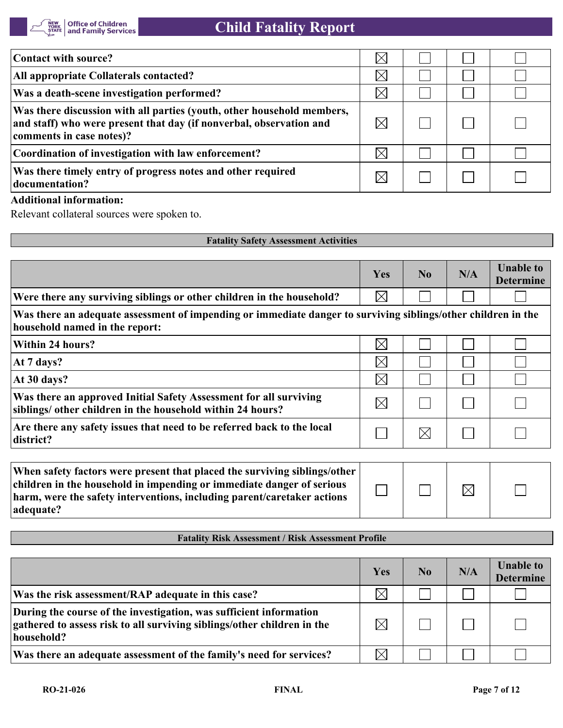

| Contact with source?                                                                                                                                                      | $\times$ |  |  |
|---------------------------------------------------------------------------------------------------------------------------------------------------------------------------|----------|--|--|
| All appropriate Collaterals contacted?                                                                                                                                    | $\times$ |  |  |
| Was a death-scene investigation performed?                                                                                                                                | $\times$ |  |  |
| Was there discussion with all parties (youth, other household members,<br>and staff) who were present that day (if nonverbal, observation and<br>comments in case notes)? |          |  |  |
| Coordination of investigation with law enforcement?                                                                                                                       | $\times$ |  |  |
| Was there timely entry of progress notes and other required<br>documentation?                                                                                             |          |  |  |

#### **Additional information:**

Relevant collateral sources were spoken to.

| <b>Fatality Safety Assessment Activities</b>                                                                                                                                                                                               |             |             |             |                                      |
|--------------------------------------------------------------------------------------------------------------------------------------------------------------------------------------------------------------------------------------------|-------------|-------------|-------------|--------------------------------------|
|                                                                                                                                                                                                                                            | Yes         | No          | N/A         | <b>Unable to</b><br><b>Determine</b> |
| Were there any surviving siblings or other children in the household?                                                                                                                                                                      | $\boxtimes$ |             |             |                                      |
| Was there an adequate assessment of impending or immediate danger to surviving siblings/other children in the<br>household named in the report:                                                                                            |             |             |             |                                      |
| Within 24 hours?                                                                                                                                                                                                                           | $\boxtimes$ |             |             |                                      |
| At 7 days?                                                                                                                                                                                                                                 | $\boxtimes$ |             |             |                                      |
| At 30 days?                                                                                                                                                                                                                                | $\boxtimes$ |             |             |                                      |
| Was there an approved Initial Safety Assessment for all surviving<br>siblings/ other children in the household within 24 hours?                                                                                                            | $\boxtimes$ |             |             |                                      |
| Are there any safety issues that need to be referred back to the local<br>district?                                                                                                                                                        |             | $\boxtimes$ |             |                                      |
| When safety factors were present that placed the surviving siblings/other<br>children in the household in impending or immediate danger of serious<br>harm, were the safety interventions, including parent/caretaker actions<br>adequate? |             |             | $\boxtimes$ |                                      |

### **Fatality Risk Assessment / Risk Assessment Profile**

|                                                                                                                                                             | Yes         | No | N/A | <b>Unable to</b><br><b>Determine</b> |
|-------------------------------------------------------------------------------------------------------------------------------------------------------------|-------------|----|-----|--------------------------------------|
| Was the risk assessment/RAP adequate in this case?                                                                                                          | $\times$    |    |     |                                      |
| During the course of the investigation, was sufficient information<br>gathered to assess risk to all surviving siblings/other children in the<br>household? | $\boxtimes$ |    |     |                                      |
| Was there an adequate assessment of the family's need for services?                                                                                         | $\times$    |    |     |                                      |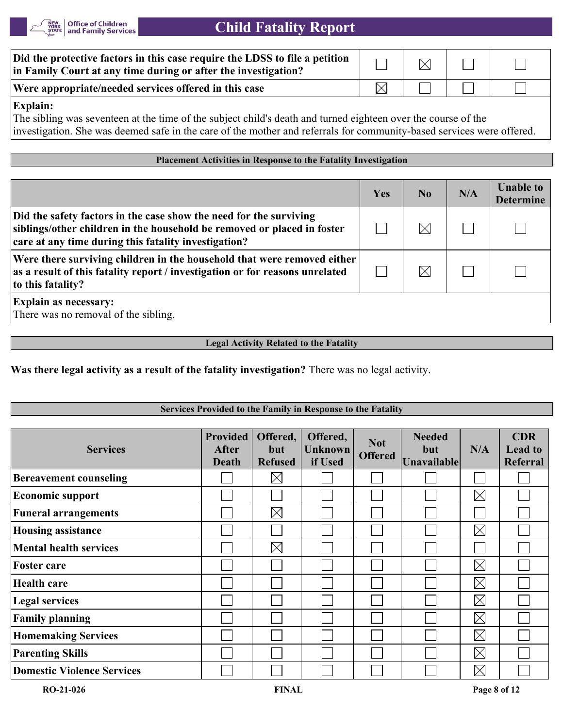

| Did the protective factors in this case require the LDSS to file a petition<br>in Family Court at any time during or after the investigation? | $\boxtimes$ |  |
|-----------------------------------------------------------------------------------------------------------------------------------------------|-------------|--|
| Were appropriate/needed services offered in this case                                                                                         |             |  |

#### **Explain:**

The sibling was seventeen at the time of the subject child's death and turned eighteen over the course of the investigation. She was deemed safe in the care of the mother and referrals for community-based services were offered.

#### **Placement Activities in Response to the Fatality Investigation**

|                                                                                                                                                                                                       | Yes | No | N/A | <b>Unable to</b><br><b>Determine</b> |
|-------------------------------------------------------------------------------------------------------------------------------------------------------------------------------------------------------|-----|----|-----|--------------------------------------|
| Did the safety factors in the case show the need for the surviving<br>siblings/other children in the household be removed or placed in foster<br>care at any time during this fatality investigation? |     |    |     |                                      |
| Were there surviving children in the household that were removed either<br>as a result of this fatality report / investigation or for reasons unrelated<br>to this fatality?                          |     |    |     |                                      |
| <b>Explain as necessary:</b><br>There was no removal of the sibling.                                                                                                                                  |     |    |     |                                      |

#### **Legal Activity Related to the Fatality**

**Was there legal activity as a result of the fatality investigation?** There was no legal activity.

#### **Services Provided to the Family in Response to the Fatality**

| <b>Services</b>                   | <b>Provided</b><br><b>After</b><br><b>Death</b> | Offered,<br>but<br><b>Refused</b> | Offered,<br><b>Unknown</b><br>if Used | <b>Not</b><br><b>Offered</b> | <b>Needed</b><br><b>but</b><br><b>Unavailable</b> | N/A         | <b>CDR</b><br><b>Lead to</b><br><b>Referral</b> |
|-----------------------------------|-------------------------------------------------|-----------------------------------|---------------------------------------|------------------------------|---------------------------------------------------|-------------|-------------------------------------------------|
| <b>Bereavement counseling</b>     |                                                 | $\boxtimes$                       |                                       |                              |                                                   |             |                                                 |
| <b>Economic support</b>           |                                                 |                                   |                                       |                              |                                                   | $\boxtimes$ |                                                 |
| <b>Funeral arrangements</b>       |                                                 | $\times$                          |                                       |                              |                                                   |             |                                                 |
| <b>Housing assistance</b>         |                                                 |                                   |                                       |                              |                                                   | $\boxtimes$ |                                                 |
| <b>Mental health services</b>     |                                                 | $\boxtimes$                       |                                       |                              |                                                   |             |                                                 |
| <b>Foster care</b>                |                                                 |                                   |                                       |                              |                                                   | $\boxtimes$ |                                                 |
| <b>Health care</b>                |                                                 |                                   |                                       |                              |                                                   | $\boxtimes$ |                                                 |
| <b>Legal services</b>             |                                                 |                                   |                                       |                              |                                                   | $\boxtimes$ |                                                 |
| <b>Family planning</b>            |                                                 |                                   |                                       |                              |                                                   | $\boxtimes$ |                                                 |
| <b>Homemaking Services</b>        |                                                 |                                   |                                       |                              |                                                   | $\boxtimes$ |                                                 |
| <b>Parenting Skills</b>           |                                                 |                                   |                                       |                              |                                                   | $\boxtimes$ |                                                 |
| <b>Domestic Violence Services</b> |                                                 |                                   |                                       |                              |                                                   | $\boxtimes$ |                                                 |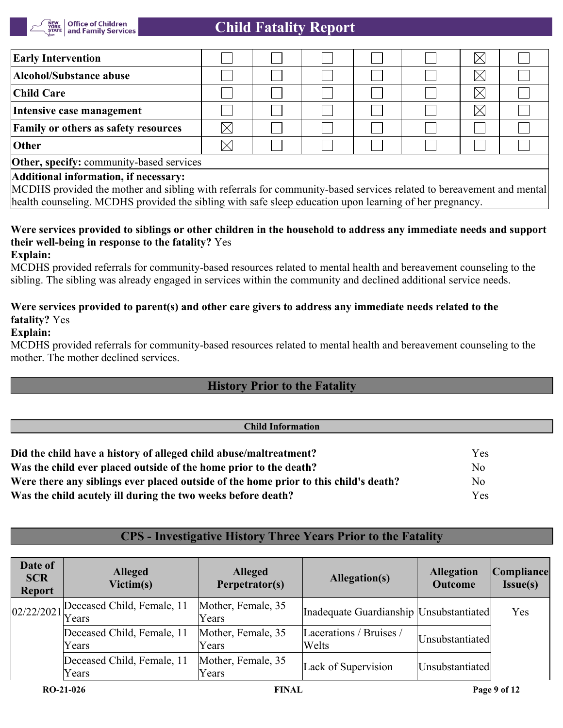

| <b>Early Intervention</b>                                                                                                                                   |  |  |  |  |  |  |  |
|-------------------------------------------------------------------------------------------------------------------------------------------------------------|--|--|--|--|--|--|--|
| Alcohol/Substance abuse                                                                                                                                     |  |  |  |  |  |  |  |
| <b>Child Care</b>                                                                                                                                           |  |  |  |  |  |  |  |
| Intensive case management                                                                                                                                   |  |  |  |  |  |  |  |
| <b>Family or others as safety resources</b>                                                                                                                 |  |  |  |  |  |  |  |
| Other                                                                                                                                                       |  |  |  |  |  |  |  |
| Other, specify: community-based services                                                                                                                    |  |  |  |  |  |  |  |
| Additional information, if necessary:<br>MONIC ages ided the method of citing with actempts for community heard comings uplated to honogroup out on day and |  |  |  |  |  |  |  |

MCDHS provided the mother and sibling with referrals for community-based services related to bereavement and mental health counseling. MCDHS provided the sibling with safe sleep education upon learning of her pregnancy.

### **Were services provided to siblings or other children in the household to address any immediate needs and support their well-being in response to the fatality?** Yes

#### **Explain:**

MCDHS provided referrals for community-based resources related to mental health and bereavement counseling to the sibling. The sibling was already engaged in services within the community and declined additional service needs.

### **Were services provided to parent(s) and other care givers to address any immediate needs related to the fatality?** Yes

**Explain:**

MCDHS provided referrals for community-based resources related to mental health and bereavement counseling to the mother. The mother declined services.

### **History Prior to the Fatality**

| <b>Child Information</b>                                                             |                |  |
|--------------------------------------------------------------------------------------|----------------|--|
| Did the child have a history of alleged child abuse/maltreatment?                    | Yes            |  |
| Was the child ever placed outside of the home prior to the death?                    | N <sub>o</sub> |  |
| Were there any siblings ever placed outside of the home prior to this child's death? | N <sub>o</sub> |  |
| Was the child acutely ill during the two weeks before death?                         | Yes            |  |
|                                                                                      |                |  |

## **CPS - Investigative History Three Years Prior to the Fatality**

| Date of<br><b>SCR</b><br><b>Report</b> | <b>Alleged</b><br>Victim(s)         | <b>Alleged</b><br>Perpetrator(s) | <b>Allegation(s)</b>                      | <b>Allegation</b><br><b>Outcome</b> | Compliance <br>Issue(s) |
|----------------------------------------|-------------------------------------|----------------------------------|-------------------------------------------|-------------------------------------|-------------------------|
| 02/22/2021                             | Deceased Child, Female, 11<br>Years | Mother, Female, 35<br>Years      | Inadequate Guardianship   Unsubstantiated |                                     | Yes                     |
|                                        | Deceased Child, Female, 11<br>Years | Mother, Female, 35<br>Years      | Lacerations / Bruises /<br>Welts          | Unsubstantiated                     |                         |
|                                        | Deceased Child, Female, 11<br>Years | Mother, Female, 35<br>Years      | Lack of Supervision                       | Unsubstantiated                     |                         |
|                                        | $RO-21-026$                         | <b>FINAL</b>                     |                                           |                                     | Page 9 of 12            |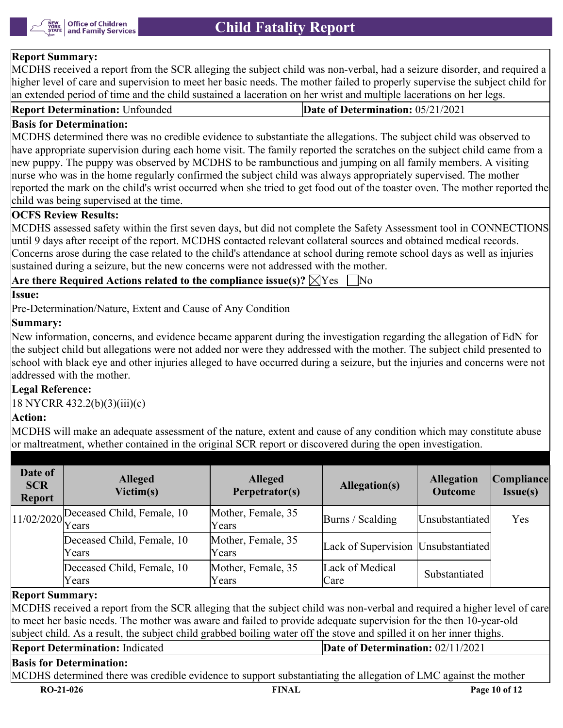

#### **Report Summary:**

MCDHS received a report from the SCR alleging the subject child was non-verbal, had a seizure disorder, and required a higher level of care and supervision to meet her basic needs. The mother failed to properly supervise the subject child for an extended period of time and the child sustained a laceration on her wrist and multiple lacerations on her legs.

| Report<br>: Unfounded<br>ort Determination: | 05/21/202<br>e of Determination: . |
|---------------------------------------------|------------------------------------|
|---------------------------------------------|------------------------------------|

#### **Basis for Determination:**

MCDHS determined there was no credible evidence to substantiate the allegations. The subject child was observed to have appropriate supervision during each home visit. The family reported the scratches on the subject child came from a new puppy. The puppy was observed by MCDHS to be rambunctious and jumping on all family members. A visiting nurse who was in the home regularly confirmed the subject child was always appropriately supervised. The mother reported the mark on the child's wrist occurred when she tried to get food out of the toaster oven. The mother reported the child was being supervised at the time.

#### **OCFS Review Results:**

MCDHS assessed safety within the first seven days, but did not complete the Safety Assessment tool in CONNECTIONS until 9 days after receipt of the report. MCDHS contacted relevant collateral sources and obtained medical records. Concerns arose during the case related to the child's attendance at school during remote school days as well as injuries sustained during a seizure, but the new concerns were not addressed with the mother.

|--|--|

#### **Issue:**

Pre-Determination/Nature, Extent and Cause of Any Condition

#### **Summary:**

New information, concerns, and evidence became apparent during the investigation regarding the allegation of EdN for the subject child but allegations were not added nor were they addressed with the mother. The subject child presented to school with black eye and other injuries alleged to have occurred during a seizure, but the injuries and concerns were not addressed with the mother.

#### **Legal Reference:**

18 NYCRR 432.2(b)(3)(iii)(c)

#### **Action:**

MCDHS will make an adequate assessment of the nature, extent and cause of any condition which may constitute abuse or maltreatment, whether contained in the original SCR report or discovered during the open investigation.

| Date of<br><b>SCR</b><br><b>Report</b> | <b>Alleged</b><br>Victim(s)                      | <b>Alleged</b><br>Perpetrator(s) | Allegation(s)                         | <b>Allegation</b><br><b>Outcome</b> | Compliance<br>Issue(s) |
|----------------------------------------|--------------------------------------------------|----------------------------------|---------------------------------------|-------------------------------------|------------------------|
|                                        | $11/02/2020$ Peceased Child, Female, 10<br>Years | Mother, Female, 35<br>Years      | Burns / Scalding                      | Unsubstantiated                     | Yes                    |
|                                        | Deceased Child, Female, 10<br>Years              | Mother, Female, 35<br>Years      | Lack of Supervision   Unsubstantiated |                                     |                        |
|                                        | Deceased Child, Female, 10<br>Years              | Mother, Female, 35<br>Years      | Lack of Medical<br>Care               | Substantiated                       |                        |

#### **Report Summary:**

MCDHS received a report from the SCR alleging that the subject child was non-verbal and required a higher level of care to meet her basic needs. The mother was aware and failed to provide adequate supervision for the then 10-year-old subject child. As a result, the subject child grabbed boiling water off the stove and spilled it on her inner thighs.

| <b>Report Determination: Indicated</b>                                                                          | Date of Determination: $02/11/2021$ |
|-----------------------------------------------------------------------------------------------------------------|-------------------------------------|
| <b>Basis for Determination:</b>                                                                                 |                                     |
| MCDHS determined there was credible evidence to support substantiating the allegation of LMC against the mother |                                     |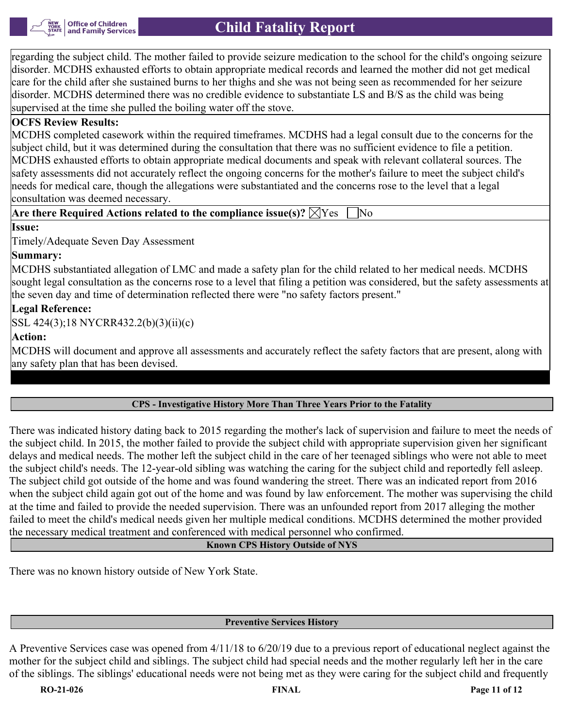

regarding the subject child. The mother failed to provide seizure medication to the school for the child's ongoing seizure disorder. MCDHS exhausted efforts to obtain appropriate medical records and learned the mother did not get medical care for the child after she sustained burns to her thighs and she was not being seen as recommended for her seizure disorder. MCDHS determined there was no credible evidence to substantiate LS and B/S as the child was being supervised at the time she pulled the boiling water off the stove.

#### **OCFS Review Results:**

MCDHS completed casework within the required timeframes. MCDHS had a legal consult due to the concerns for the subject child, but it was determined during the consultation that there was no sufficient evidence to file a petition. MCDHS exhausted efforts to obtain appropriate medical documents and speak with relevant collateral sources. The safety assessments did not accurately reflect the ongoing concerns for the mother's failure to meet the subject child's needs for medical care, though the allegations were substantiated and the concerns rose to the level that a legal consultation was deemed necessary.

#### **Are there Required Actions related to the compliance issue(s)?**  $\boxtimes$  **Yes**  $\Box$  **No**

**Issue:**

Timely/Adequate Seven Day Assessment

#### **Summary:**

MCDHS substantiated allegation of LMC and made a safety plan for the child related to her medical needs. MCDHS sought legal consultation as the concerns rose to a level that filing a petition was considered, but the safety assessments at the seven day and time of determination reflected there were "no safety factors present."

### **Legal Reference:**

SSL 424(3);18 NYCRR432.2(b)(3)(ii)(c)

#### **Action:**

MCDHS will document and approve all assessments and accurately reflect the safety factors that are present, along with any safety plan that has been devised.

### **CPS - Investigative History More Than Three Years Prior to the Fatality**

There was indicated history dating back to 2015 regarding the mother's lack of supervision and failure to meet the needs of the subject child. In 2015, the mother failed to provide the subject child with appropriate supervision given her significant delays and medical needs. The mother left the subject child in the care of her teenaged siblings who were not able to meet the subject child's needs. The 12-year-old sibling was watching the caring for the subject child and reportedly fell asleep. The subject child got outside of the home and was found wandering the street. There was an indicated report from 2016 when the subject child again got out of the home and was found by law enforcement. The mother was supervising the child at the time and failed to provide the needed supervision. There was an unfounded report from 2017 alleging the mother failed to meet the child's medical needs given her multiple medical conditions. MCDHS determined the mother provided the necessary medical treatment and conferenced with medical personnel who confirmed.

#### **Known CPS History Outside of NYS**

There was no known history outside of New York State.

#### **Preventive Services History**

A Preventive Services case was opened from 4/11/18 to 6/20/19 due to a previous report of educational neglect against the mother for the subject child and siblings. The subject child had special needs and the mother regularly left her in the care of the siblings. The siblings' educational needs were not being met as they were caring for the subject child and frequently